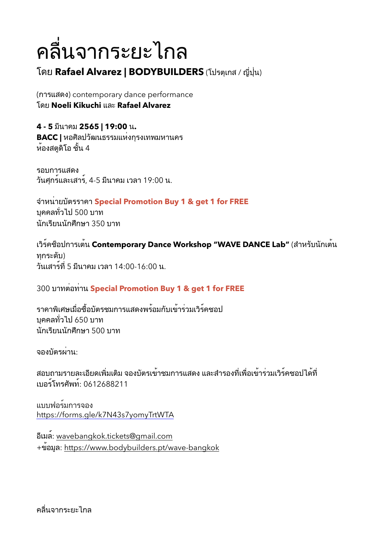## ้ คลื่นจากระยะไกล

## โดย Rafael Alvarez | BODYBUILDERS (โปรตุเกส / ญี่ปุ่น)

(การแสดง) contemporary dance performance **โดย Noeli Kikuchi และ Rafael Alvarez** 

 $4 - 5$  มีนาคม 2565 | 19:00 น. **BACC |** หอศิลปวัฒนธรรมแห่งกรงเทพมหานคร ห้องสตดิโอ ชั้น 4

รอบการแสดง ้วันศกร์และเสาร์, 4-5 มีนาคม เวลา 19:00 น.

&H'9%\$'+F>0))'!'I**Special Promotion Buy 1 & get 1 for FREE** ้บคคลทั่วไป 500 บาท นักเรียนนักศึกษา 350 บาท

ี่ เวิร์คซ็อปการเต<sup>้</sup>น Contemporary Dance Workshop "WAVE DANCE Lab" (สำหรับนักเต<sup>้</sup>น ทกระดับ)  $3$ ันเสาร์ที่ 5 มีนาคม เวลา 14:00-16:00 น.

300 บาทต่อท่าน Special Promotion Buy 1 & get 1 for FREE

ี่ ราคาพิเศษเมื่อซื้อบัตรชมการแสดงพร<sup>้</sup>อมกับเข้าร่วมเวิร<sup>์</sup>คชอป ีบคคลทั่วไป 650 บาท ้นักเรียนนักศึกษา 500 บาท

้จองบัตรผ**่าน:** 

ี่สอบถามรายละเอียดเพิ่มเติม จองบัตรเข้าชมการแสดง และสำรองที่เพื่อเข้าร่วมเวิร์คชอปได้ที่ 2F:)G-A);>BAG: 0612688211

แบบฟอร์มการจอง <https://forms.gle/k7N43s7yomyTrtWTA>

:528"G: [wavebangkok.tickets@gmail.com](mailto:wavebangkok.tickets@gmail.com) +ข้อมล: <https://www.bodybuilders.pt/wave-bangkok>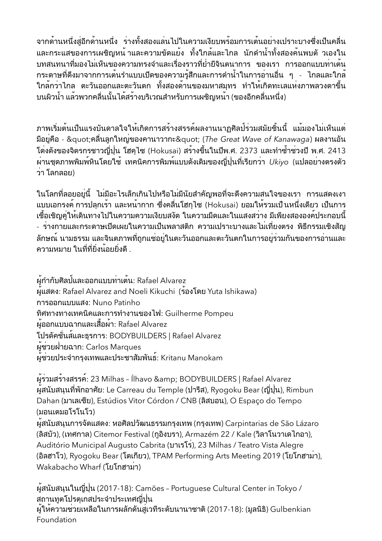ี่จากด้านหนึ่งสู่อีกด้านหนึ่ง ร่างทั้งสองแล<sup>่</sup>นไปในความเงียบพร้อมการเต<sup>้</sup>นอย่างเปราะบางซึ่งเป็นคลื่น ี และกระแสของการเผชิญหน้ าและความขัดแย้ง ทั้งใกล้และไกล นักดำน้ำทั้งสองค้นพบตั วเองใน ิบทสนทนาที่มองไม่เห็นของความทรงจำและเรื่องราวที่ย่ำยีจินตนาการ ของเรา การออกแบบท่าเต้น ึกระดาษที่ดึงมาจากการเต<sup>้</sup>นรำแบบเปิดของความรู้สึกและการดำน้ำในการอ่านอื่น ๆ - ไกลและใกล<sup>้</sup><br>ใกล<sup>้</sup>กว่าไกล ตะวันออกและตะวันตก ทั้งสองด้านของมหาสมุทร ทำให**้เกิดทะเลแห่งภาพลวงตาขึ้น** ูบนผิวน้ำ แล<sup>้</sup>วพวกคลื่นนั้นได้สร้างบริเวณสำหรับการเผชิญหน<sup>้</sup>า (ของอีกคลื่นหนึ่ง)

้ภาพเริ่มต้นเป็นแรงบันดาลใจให้เกิดการสร้างสรรค์ผลงานนาฏศิลป์ร่วมสมัยชิ้นนี้ แม้มองไม่เห็นแต่ มีอยู่คือ - "คลื่นลูกใหญ่ของคานาวากะ" (The Great Wave of Kanawaga) ผลงานอัน ์ โด่งดังของจิตรกรชาวญี่ปุ่น โฮคไซ (Hokusai) สร้างขึ้นในปีพ.ศ. 2373 และทำซ้ำช่วงปี พ.ศ. 2413 ้ผ่านชุดภาพพิมพ์หินโดยใช้ เทคนิคการพิมพ์แบบดังเดิมของญี่ปุ่นที่เรียกว่า Ukiyo (แปลอย่างตรงตัว ว่า โลกลอย)

่ ในโลกที่ลอยอย่นี้ ไม่มีอะไรเล็กเกินไปหรือไม่มีนัยสำคัญพอที่จะดึงความสนใจของเรา การแสดงเงา ี แบบเอกรงค์ การปลุกเร้า และหน้ากาก ซึ่งคลื่นโฮกุไซ (Hokusai) ยอมให้รวมเป็นหนึ่งเดียว เป็นการ ้เชื้อเชิญคู่ให้เดินทางไปในความความเงียบสงัด ในความมืดและในแสงสว่าง มีเพียงสององค<sup>์</sup>ประกอบนี้ - ร่างกายและกระดาษเปิดเผยในความเป็นพลาสติก ความเปราะบางและไม่เที่ยงตรง พิธีกรรมเชิงสัญ ้ลักษณ์ นามธรรม และจินตภาพที่ถกแช่อย่ในตะวันออกและตะวันตกในการอย่ร่วมกันของการอ่านและ ความหมาย ในที่ที่ยิ่งน้อยยิ่งดี .

ผู้กำกับศิลป<sup>์</sup>และออกแบบท่าเต<sup>้</sup>น: Rafael Alvarez ผ<sup>ู</sup>้แสดง: Rafael Alvarez and Noeli Kikuchi (ร้องโดย Yuta Ishikawa) การออกแบบแสง: Nuno Patinho ทิศทางทางเทคนิคและการทำงานของไฟ: Guilherme Pompeu ้ผู้ออกแบบฉากและเสื้อผ้า: Rafael Alvarez โปรดัคชั่นส์และธรการ: BODYBUILDERS | Rafael Alvarez ผู้ช่วยฝ่ายฉาก: Carlos Marques ผู้ช่วยประจำกรุงเทพและประชาสัมพันธ์: Kritanu Manokam

ผู้ร่วมสร้างสรรค์: 23 Milhas - Ílhavo & BODYBUILDERS | Rafael Alvarez ผู้สนับสนุนที่พักอาศัย: Le Carreau du Temple (ปารีส), Ryogoku Bear (ญี่ปุ่น), Rimbun Dahan (มาเลเซีย), Estúdios Vitor Córdon / CNB (ลิสบอน), O Espaço do Tempo (มอนเตมอโรโนโว)

ผู้สนับสนุนการจัดแสดง: หอศิลปวัฒนธรรมกรุงเทพ (กรุงเทพ) Carpintarias de São Lázaro (ลิสบัว), (เทศกาล) Citemor Festival (กอิงบรา), Armazém 22 / Kale (วิลาโนวาเดไกอา), Auditório Municipal Augusto Cabrita (บาเรโร), 23 Milhas / Teatro Vista Alegre (อิลฮาโว), Ryogoku Bear (โตเกียว), TPAM Performing Arts Meeting 2019 (โยโกฮามา), Wakabacho Wharf (โยโกฮามา)

ผู้สนับสนุนในญี่ปุ่น (2017-18): Camões - Portuguese Cultural Center in Tokyo / สถานทูตโปรตุเกสประจำประเทศญี่ปุ่น ผู้ให**้ความช่วยเหลือในการผลักดันสู่เวทีระดับน**านาชาติ (2017-18): (มูลนิธิ) Gulbenkian Foundation